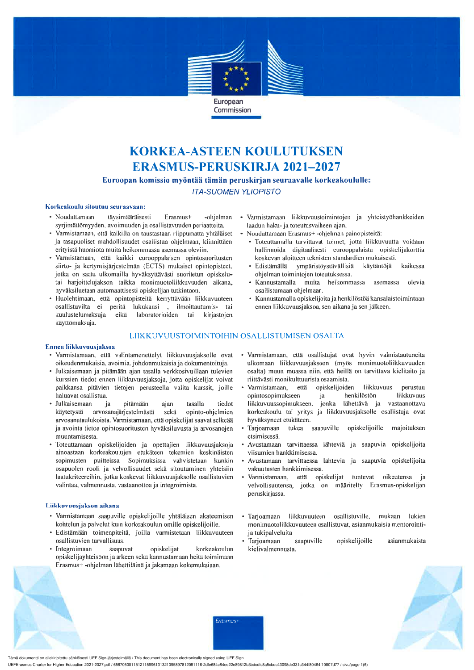

# **KORKEA-ASTEEN KOULUTUKSEN ERASMUS-PERUSKIRJA 2021-2027**

Euroopan komissio myöntää tämän peruskirjan seuraavalle korkeakoululle:

**ITA-SUOMEN YLIOPISTO** 

#### Korkeakoulu sitoutuu seuraavaan:

- Noudattamaan tävsimääräisesti Erasmus+ -ohielman syrjimättömyyden, avoimuuden ja osallistavuuden periaatteita.
- Vannistamaan, että kaikilla on taustastaan riippumatta yhtäläiset ja tasapuoliset mahdollisuudet osallistua ohjelmaan, kiinnittäen erityistä huomiota muita heikommassa asemassa oleviin.
- Varmistamaan, että kaikki eurooppalaisen opintosuoritusten siirto- ja kertymisjärjestelmän (ECTS) mukaiset opintopisteet. jotka on saatu ulkomailla hyväksyttävästi suoritetun opiskelutai harjoittelujakson taikka monimuotoliikkuvuuden aikana, hyväksiluetaan automaattisesti opiskelijan tutkintoon.
- Huolehtimaan, että opintopisteitä kerryttävään liikkuvuuteen osallistuvilta ei peritä lukukausi , ilmoittautumis- tai kuulustelumaksuja eikä laboratorioiden tai kirjastojen käyttömaksuja.
- · Varmistamaan liikkuvuustoimintojen ja yhteistyöhankkeiden laadun haku- ja toteutusvaiheen ajan.
	- Noudattamaan Erasmus+-ohjelman painopisteitä:
	- Toteuttamalla tarvittavat toimet, jotta liikkuvuutta voidaan hallinnoida digitaalisesti eurooppalaista opiskelijakorttia koskevan aloitteen teknisten standardien mukaisesti.
	- Edistämällä ympäristöystävällisiä käytäntöjä kaikessa ohjelman toimintojen toteutuksessa.
	- Kannustamalla muita heikommassa asemassa olevia osallistumaan ohjelmaan.
	- · Kannustamalla opiskelijoita ja henkilöstöä kansalaistoimintaan ennen liikkuvuusjaksoa, sen aikana ja sen jälkeen.

## LIIKKUVUUSTOIMINTOIHIN OSALLISTUMISEN OSALTA

#### Ennen liikkuvuusiaksoa

- Varmistamaan, että valintamenettelyt liikkuvuusjaksolle ovat oikeudenmukaisia, avoimia, johdonmukaisia ja dokumentoituja.
- Julkaisemaan ja pitämään ajan tasalla verkkosivuillaan tulevien kurssien tiedot ennen liikkuvuusjaksoja, jotta opiskelijat voivat paikkansa pitävien tietojen perusteella valita kurssit, joille haluavat osallistua.
- Julkaisemaan  $\int$  ja pitämään ajan tasalla tiedot käytetystä arvosanajärjestelmästä sekä opinto-ohjelmien arvosanataulukoista. Varmistamaan, että opiskelijat saavat selkeää ja avointa tietoa opintosuoritusten hyväksiluvusta ja arvosanojen muuntamisesta.
- Toteuttamaan opiskelijoiden ja opettajien liikkuvuusjaksoja ainoastaan korkeakoulujen etukäteen tekemien keskinäisten sopimusten puitteissa. Sopimuksissa vahvistetaan kunkin osapuolen rooli ja velvollisuudet sekä sitoutuminen yhteisiin laatukriteereihin, jotka koskevat liikkuvuusjaksolle osallistuvien valintaa, valmennusta, vastaanottoa ja integroimista.

#### Liikkuvuusjakson aikana

- · Varmistamaan saapuville opiskelijoille yhtäläisen akateemisen kohtelun ja palvelut kuin korkeakoulun omille opiskelijoille.
- · Edistämään toimenpiteitä, joilla varmistetaan liikkuvuuteen osallistuvien turvallisuus.
- Integroimaan saapuvat opiskelijat korkeakoulun opiskelijayhteisöön ja arkeen sekä kannustamaan heitä toimimaan Erasmus+ -ohjelman lähettiläinä ja jakamaan kokemuksiaan.
- Varmistamaan, että osallistujat ovat hyvin valmistautuneita ulkomaan liikkuvuusjaksoon (myös monimuotoliikkuvuuden osalta) muun muassa niin, että heillä on tarvittava kielitaito ja riittävästi monikulttuurista osaamista.
- Varmistamaan, että opiskelijoiden liikkuvuus perustuu henkilöstön opintosopimukseen liikkuvuus ja liikkuvuussopimukseen, jonka lähettävä ja vastaanottava korkeakoulu tai yritys ja liikkuvuusjaksolle osallistuja ovat hyväksyneet etukäteen.
- opiskelijoille Tarjoamaan tukea saapuville majoituksen etsimisessä
- Avustamaan tarvittaessa lähteviä ja saapuvia opiskelijoita viisumien hankkimisessa.
- Avustamaan tarvittaessa lähteviä ja saapuvia opiskelijoita vakuutusten hankkimisessa.
- Varmistamaan, että opiskelijat tuntevat oikeutensa ja velvollisuutensa, jotka on määritelty Erasmus-opiskelijan peruskirjassa.
- Tarjoamaan liikkuvuuteen osallistuville, mukaan lukien monimuotoliikkuvuuteen osallistuvat, asianmukaisia mentorointija tukipalveluita
- Tarjoamaan saapuville opiskelijoille asianmukaista kielivalmennusta.





Tämä dokumentti on allekirjoitettu sähköisesti UEF Sign-järjestelmällä / This document has been electronically signed using UEF Sign UEFErasmus Charter for Higher Education 2021-2027 pdf / 6587050011512115996131321095897812081116-2dfe684c84ee22e89812b3bdcdfc8a5cbdc43098de331c344f80464f10807d77 / sivu/page 1(6)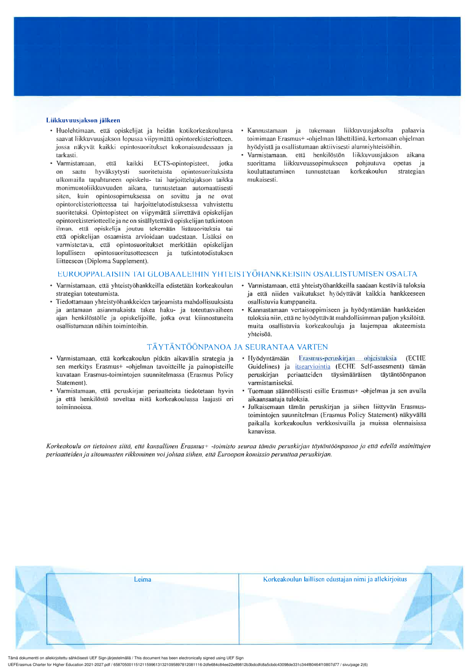#### Liikkuvuusiakson jälkeen

- · Huolehtimaan, että opiskelijat ja heidän kotikorkeakoulunsa saavat liikkuvuusjakson lopussa viipymättä opintorekisteriotteen. jossa näkyvät kaikki opintosuoritukset kokonaisuudessaan ja tarkasti
- Varmistamaan. että kaikki ECTS-opintopisteet. iotka saatu hyväksytysti suoritetuista opintosuorituksista  $_{0n}$ ulkomailla tapahtuneen opiskelu- tai harjoittelujakson taikka monimuotoliikkuvuuden aikana, tunnustetaan automaattisesti siten, kuin opintosopimuksessa on sovittu ja ne ovat opintorekisteriotteessa tai harjoittelutodistuksessa vahvistettu suoritetuksi. Opintopisteet on viipymättä siirrettävä opiskelijan opintorekisteriotteelle ja ne on sisällytettävä opiskelijan tutkintoon ilman, että opiskelija joutuu tekemään lisäsuorituksia tai että opiskelijan osaamista arvioidaan uudestaan. Lisäksi on varmistettava, että opintosuoritukset merkitään opiskelijan lopulliseen opintosuoritusotteeseen ja tutkintotodistuksen liitteeseen (Diploma Supplement).
- Kannustamaan ja tukemaan liikkuvuusjaksolta nalaavia toimimaan Erasmus+ -ohjelman lähettiläinä, kertomaan ohjelman hyödyistä ja osallistumaan aktiivisesti alumniyhteisöihin.
- Varmistamaan, että henkilöstön liikkuvuusjakson aikana suorittama liikkuvuussopimukseen pohjautuva opetus ja kouluttautuminen tunnustetaan korkeakoulun strategian mukaisesti.

### EUROOPPALAISIIN TAI GLOBAALEIHIN YHTEISTYÖHANKKEISIIN OSALLISTUMISEN OSALTA

- Vannistamaan, että yhteistyöhankkeilla edistetään korkeakoulun strategian toteutumista.
- Tiedottamaan vhteistyöhankkeiden tarjoamista mahdollisuuksista ja antamaan asianmukaista tukea haku- ja toteutusvaiheen ajan henkilöstölle ja opiskelijoille, jotka ovat kiinnostuneita osallistumaan näihin toimintoihin.
- · Vannistamaan, että yhteistyöhankkeilla saadaan kestäviä tuloksia ja että niiden vaikutukset hyödyttävät kaikkia hankkeeseen osallistuvia kumppaneita.
- Kannustamaan vertaisoppimiseen ja hyödyntämään hankkeiden tuloksia niin, että ne hyödyttävät mahdollisimman paljon yksilöitä. muita osallistuvia korkeakouluja ja laajempaa akateemista yhteisöä.

## TÄYTÄNTÖÖNPANOA JA SEURANTAA VARTEN

- · Varmistamaan, että korkeakoulun pitkän aikavälin strategia ja sen merkitys Erasmus+ -ohjelman tavoitteille ja painopisteille kuvataan Erasmus-toimintojen suunnitelmassa (Erasmus Policy Statement).
- Varmistamaan, että peruskirjan periaatteista tiedotetaan hyvin ja että henkilöstö soveltaa niitä korkeakoulussa laajasti eri toiminnoissa
- · Hvödyntämään Erasmus-peruskirjan ohjeistuksia (ECHE Guidelines) ja itsearviointia (ECHE Self-assesment) tämän peruskirjan periaatteiden täysimääräisen täytäntöönpanon varmistamiseksi
- Tuomaan säännöllisesti esille Erasmus+ -ohjelmaa ja sen avulla aikaansaatuja tuloksia.
- Julkaisemaan tämän peruskirjan ja siihen liittyvän Erasmustoimintojen suunnitelman (Erasmus Policy Statement) näkyvällä paikalla korkeakoulun verkkosivuilla ja muissa olennaisissa kanavissa.

Korkeakoulu on tietoinen siitä, että kansallinen Erasmus+ -toimisto seuraa tämän peruskirjan täytäntöönpanoa ja että edellä mainittujen periaatteiden ja sitoumusten rikkominen voi johtaa siihen, että Euroopan komissio peruuttaa peruskirjan.

| Leima | Korkeakoulun laillisen edustajan nimi ja allekirjoitus |  |
|-------|--------------------------------------------------------|--|
|       |                                                        |  |
|       |                                                        |  |
|       |                                                        |  |

Tämä dokumentti on allekirjoitettu sähköisesti UEF Sign-järjestelmällä / This document has been electronically signed using UEF Sigr

UEFErasmus Charter for Higher Education 2021-2027.pdf / 6587050011512115996131321095897812081116-2dfe684c84ee22e89812b3bdcdfc8a5cbdc43098de331c344f80464f10807d77 / sivu/page 2(6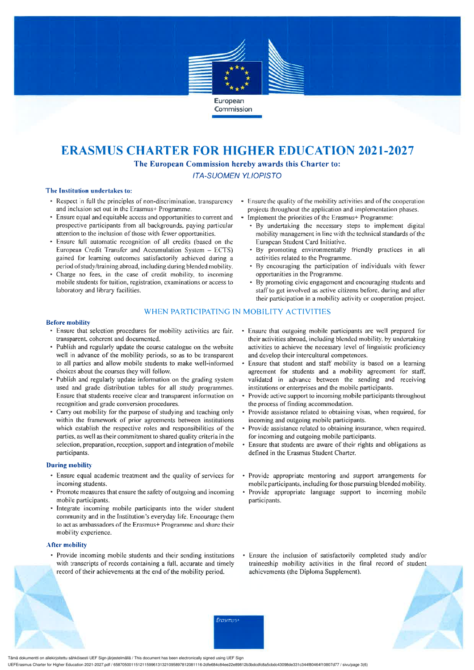

# **ERASMUS CHARTER FOR HIGHER EDUCATION 2021-2027**

The European Commission hereby awards this Charter to:

**ITA-SUOMEN YLIOPISTO** 

#### The Institution undertakes to:

- Respect in full the principles of non-discrimination, transparency and inclusion set out in the Erasmus+ Programme.
- Ensure equal and equitable access and opportunities to current and prospective participants from all backgrounds, paying particular attention to the inclusion of those with fewer opportunities.
- Ensure full automatic recognition of all credits (based on the European Credit Transfer and Accumulation System - ECTS) gained for learning outcomes satisfactorily achieved during a period of study/training abroad, including during blended mobility,
- Charge no fees, in the case of credit mobility, to incoming mobile students for tuition, registration, examinations or access to laboratory and library facilities.
- Ensure the quality of the mobility activities and of the cooperation projects throughout the application and implementation phases.
- Implement the priorities of the Erasmus+ Programme:
	- By undertaking the necessary steps to implement digital mobility management in line with the technical standards of the European Student Card Initiative.
	- By promoting environmentally friendly practices in all activities related to the Programme.
	- By encouraging the participation of individuals with fewer opportunities in the Programme.
	- By promoting civic engagement and encouraging students and staff to get involved as active citizens before, during and after their participation in a mobility activity or cooperation project.

#### WHEN PARTICIPATING IN MOBILITY ACTIVITIES

#### **Before mobility**

- Ensure that selection procedures for mobility activities are fair, transparent, coherent and documented.
- Publish and regularly update the course catalogue on the website well in advance of the mobility periods, so as to be transparent to all parties and allow mobile students to make well-informed choices about the courses they will follow.
- Publish and regularly update information on the grading system used and grade distribution tables for all study programmes. Ensure that students receive clear and transparent information on recognition and grade conversion procedures.
- Carry out mobility for the purpose of studying and teaching only within the framework of prior agreements between institutions which establish the respective roles and responsibilities of the parties, as well as their commitment to shared quality criteria in the selection, preparation, reception, support and integration of mobile participants.

#### **During mobility**

- Ensure equal academic treatment and the quality of services for incoming students.
- Promote measures that ensure the safety of outgoing and incoming mobile participants.
- Integrate incoming mobile participants into the wider student community and in the Institution's everyday life. Encourage them to act as ambassadors of the Erasmus+ Programme and share their mobility experience.

#### **After mobility**

Provide incoming mobile students and their sending institutions with transcripts of records containing a full, accurate and timely record of their achievements at the end of the mobility period.

- Ensure that outgoing mobile participants are well prepared for their activities abroad, including blended mobility, by undertaking activities to achieve the necessary level of linguistic proficiency and develop their intercultural competences.
- Ensure that student and staff mobility is based on a learning agreement for students and a mobility agreement for staff, validated in advance between the sending and receiving institutions or enterprises and the mobile participants.
- Provide active support to incoming mobile participants throughout the process of finding accommodation.
- Provide assistance related to obtaining visas, when required, for incoming and outgoing mobile participants.
- Provide assistance related to obtaining insurance, when required. for incoming and outgoing mobile participants.
- Ensure that students are aware of their rights and obligations as defined in the Erasmus Student Charter.
- Provide appropriate mentoring and support arrangements for mobile participants, including for those pursuing blended mobility.
- Provide appropriate language support to incoming mobile participants.
- Ensure the inclusion of satisfactorily completed study and/or traineeship mobility activities in the final record of student achievements (the Diploma Supplement).





Tämä dokumentti on allekirjoitettu sähköisesti UEF Sign-järjestelmällä / This document has been electronically signed using UEF Sign UEFErasmus Charter for Higher Education 2021-2027 pdf / 6587050011512115996131321095897812081116-2dfe684c84ee22e89812b3bdcdfc8a5cbdc43098de331c344f80464f10807d77 / sivu/page 3(6)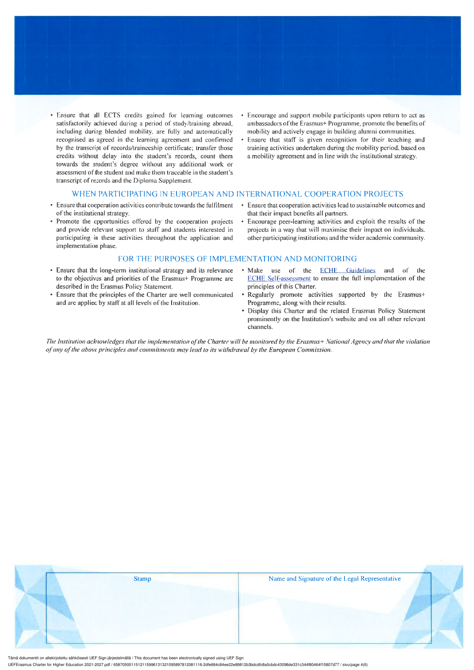- · Ensure that all ECTS credits gained for learning outcomes satisfactorily achieved during a period of study/training abroad. including during blended mobility, are fully and automatically recognised as agreed in the learning agreement and confirmed by the transcript of records/traineeship certificate; transfer those credits without delay into the student's records, count them towards the student's degree without any additional work or assessment of the student and make them traceable in the student's transcript of records and the Diploma Supplement.
- Encourage and support mobile participants upon return to act as ambassadors of the Erasmus+ Programme, promote the benefits of mobility and actively engage in building alumni communities.
- Ensure that staff is given recognition for their teaching and training activities undertaken during the mobility period, based on a mobility agreement and in line with the institutional strategy.

#### WHEN PARTICIPATING IN EUROPEAN AND INTERNATIONAL COOPERATION PROJECTS

- Ensure that cooperation activities contribute towards the fulfilment of the institutional strategy.
- Promote the opportunities offered by the cooperation projects and provide relevant support to staff and students interested in participating in these activities throughout the application and implementation phase.
- Ensure that cooperation activities lead to sustainable outcomes and that their impact benefits all partners.
- Encourage peer-learning activities and exploit the results of the projects in a way that will maximise their impact on individuals. other participating institutions and the wider academic community.

#### FOR THE PURPOSES OF IMPLEMENTATION AND MONITORING

- Ensure that the long-term institutional strategy and its relevance to the objectives and priorities of the Erasmus+ Programme are described in the Erasmus Policy Statement.
- Ensure that the principles of the Charter are well communicated and are applied by staff at all levels of the Institution.
- use of the ECHE Guidelines and of the • Make ECHE Self-assessment to ensure the full implementation of the principles of this Charter.
- Regularly promote activities supported by the Erasmus+ Programme, along with their results.
- Display this Charter and the related Erasmus Policy Statement prominently on the Institution's website and on all other relevant channels.

The Institution acknowledges that the implementation of the Charter will be monitored by the Erasmus+ National Agency and that the violation of any of the above principles and commitments may lead to its withdrawal by the European Commission.



Tämä dokumentti on allekirjoitettu sähköisesti UEF Sign-järjestelmällä / This document has been electronically signed using UEF Sign

UEFErasmus Charter for Higher Education 2021-2027 pdf / 6587050011512115996131321095897812081116-2dfe684c84ee22e89812b3bdcdfc8a5cbdc43098de331c344f80464f10807d77 / sivu/page 4(6)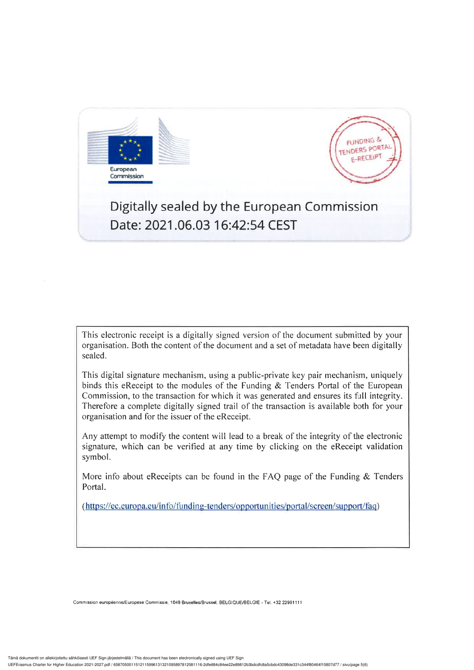



# Digitally sealed by the European Commission Date: 2021.06.03 16:42:54 CEST

This electronic receipt is a digitally signed version of the document submitted by your organisation. Both the content of the document and a set of metadata have been digitally sealed.

This digital signature mechanism, using a public-private key pair mechanism, uniquely binds this eReceipt to the modules of the Funding & Tenders Portal of the European Commission, to the transaction for which it was generated and ensures its full integrity. Therefore a complete digitally signed trail of the transaction is available both for your organisation and for the issuer of the eReceipt.

Any attempt to modify the content will lead to a break of the integrity of the electronic signature, which can be verified at any time by clicking on the eReceipt validation symbol.

More info about eReceipts can be found in the FAQ page of the Funding & Tenders Portal.

(https://ec.europa.eu/info/funding-tenders/opportunities/portal/screen/support/faq)

Commission européenne/Europese Commissie, 1049 Bruxelles/Brussel, BELGIQUE/BELGIE - Tel. +32 22991111

Tämä dokumentti on allekirjoitettu sähköisesti UEF Sign-järjestelmällä / This document has been electronically signed using UEF Sign UEFErasmus Charter for Higher Education 2021-2027 pdf / 6587050011512115996131321095897812081116-2dfe684c84ee22e89812b3bdcdfc8a5cbdc43098de331c344f80464f10807d77 / sivu/page 5(6)